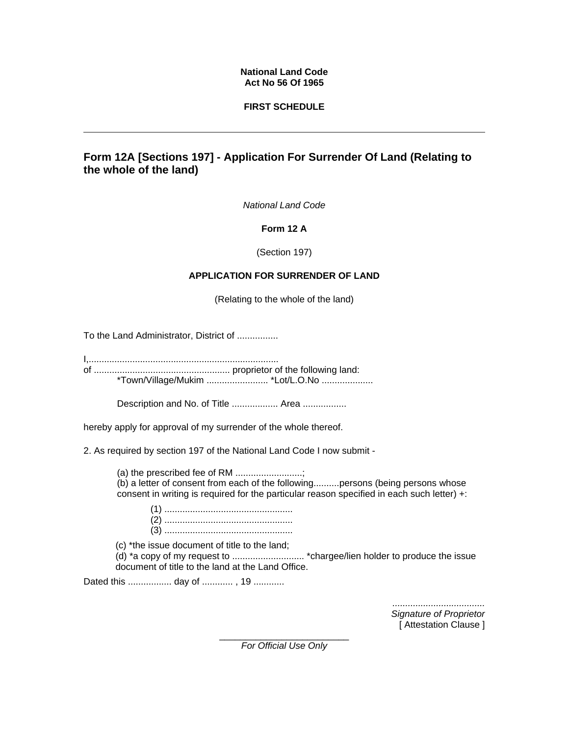#### **National Land Code Act No 56 Of 1965**

## **FIRST SCHEDULE**

# **Form 12A [Sections 197] - Application For Surrender Of Land (Relating to the whole of the land)**

*National Land Code*

### **Form 12 A**

(Section 197)

## **APPLICATION FOR SURRENDER OF LAND**

(Relating to the whole of the land)

To the Land Administrator, District of ................

I,..........................................................................

of ..................................................... proprietor of the following land: \*Town/Village/Mukim ........................ \*Lot/L.O.No ....................

Description and No. of Title .................. Area .................

hereby apply for approval of my surrender of the whole thereof.

2. As required by section 197 of the National Land Code I now submit -

(a) the prescribed fee of RM ..........................; (b) a letter of consent from each of the following..........persons (being persons whose consent in writing is required for the particular reason specified in each such letter) +:

(1) .................................................. (2) .................................................. (3) ..................................................

(c) \*the issue document of title to the land;

(d) \*a copy of my request to ............................ \*chargee/lien holder to produce the issue document of title to the land at the Land Office.

Dated this ................. day of ............ , 19 ............

*.................................... Signature of Proprietor* [ Attestation Clause ]

\_\_\_\_\_\_\_\_\_\_\_\_\_\_\_\_\_\_\_\_\_\_\_\_\_ *For Official Use Only*